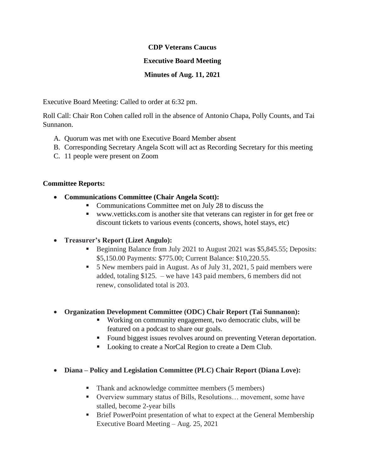#### **CDP Veterans Caucus**

## **Executive Board Meeting**

## **Minutes of Aug. 11, 2021**

Executive Board Meeting: Called to order at 6:32 pm.

Roll Call: Chair Ron Cohen called roll in the absence of Antonio Chapa, Polly Counts, and Tai Sunnanon.

- A. Quorum was met with one Executive Board Member absent
- B. Corresponding Secretary Angela Scott will act as Recording Secretary for this meeting
- C. 11 people were present on Zoom

#### **Committee Reports:**

- **Communications Committee (Chair Angela Scott):**
	- Communications Committee met on July 28 to discuss the
	- www.vetticks.com is another site that veterans can register in for get free or discount tickets to various events (concerts, shows, hotel stays, etc)

# • **Treasurer's Report (Lizet Angulo):**

- Beginning Balance from July 2021 to August 2021 was \$5,845.55; Deposits: \$5,150.00 Payments: \$775.00; Current Balance: \$10,220.55.
- 5 New members paid in August. As of July 31, 2021, 5 paid members were added, totaling \$125. – we have 143 paid members, 6 members did not renew, consolidated total is 203.
- **Organization Development Committee (ODC) Chair Report (Tai Sunnanon):**
	- Working on community engagement, two democratic clubs, will be featured on a podcast to share our goals.
	- Found biggest issues revolves around on preventing Veteran deportation.
	- Looking to create a NorCal Region to create a Dem Club.
- **Diana – Policy and Legislation Committee (PLC) Chair Report (Diana Love):**
	- Thank and acknowledge committee members (5 members)
	- Overview summary status of Bills, Resolutions... movement, some have stalled, become 2-year bills
	- **Example 1** Brief PowerPoint presentation of what to expect at the General Membership Executive Board Meeting – Aug. 25, 2021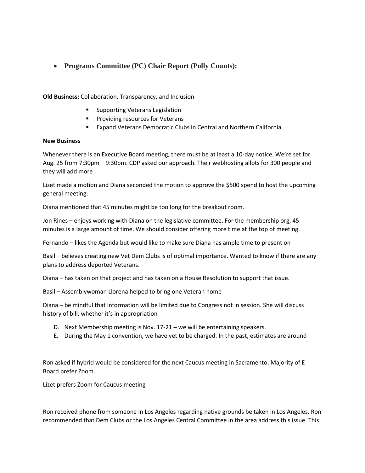• **Programs Committee (PC) Chair Report (Polly Counts):** 

**Old Business:** Collaboration, Transparency, and Inclusion

- Supporting Veterans Legislation
- Providing resources for Veterans
- Expand Veterans Democratic Clubs in Central and Northern California

#### **New Business**

Whenever there is an Executive Board meeting, there must be at least a 10-day notice. We're set for Aug. 25 from 7:30pm – 9:30pm. CDP asked our approach. Their webhosting allots for 300 people and they will add more

Lizet made a motion and Diana seconded the motion to approve the \$500 spend to host the upcoming general meeting.

Diana mentioned that 45 minutes might be too long for the breakout room.

Jon Rines – enjoys working with Diana on the legislative committee. For the membership org, 45 minutes is a large amount of time. We should consider offering more time at the top of meeting.

Fernando – likes the Agenda but would like to make sure Diana has ample time to present on

Basil – believes creating new Vet Dem Clubs is of optimal importance. Wanted to know if there are any plans to address deported Veterans.

Diana – has taken on that project and has taken on a House Resolution to support that issue.

Basil – Assemblywoman Llorena helped to bring one Veteran home

Diana – be mindful that information will be limited due to Congress not in session. She will discuss history of bill, whether it's in appropriation

- D. Next Membership meeting is Nov. 17-21 we will be entertaining speakers.
- E. During the May 1 convention, we have yet to be charged. In the past, estimates are around

Ron asked if hybrid would be considered for the next Caucus meeting in Sacramento. Majority of E Board prefer Zoom.

Lizet prefers Zoom for Caucus meeting

Ron received phone from someone in Los Angeles regarding native grounds be taken in Los Angeles. Ron recommended that Dem Clubs or the Los Angeles Central Committee in the area address this issue. This